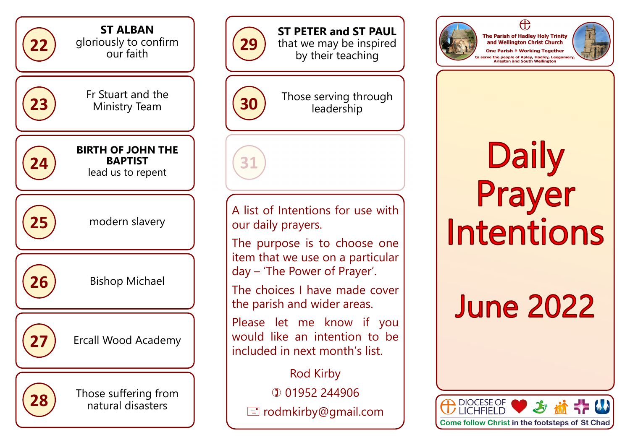



**ST PETER and ST PAUL**  that we may be inspired by their teaching



**31** 

**30** Those serving through **30** leadership

## A list of Intentions for use with our daily prayers.

The purpose is to choose one item that we use on a particular day – 'The Power of Prayer'.

The choices I have made cover the parish and wider areas.

Please let me know if you would like an intention to be included in next month's list.

Rod Kirby 01952 244906 rodmkirby@gmail.com



The Parish of Hadley Holy Trinity

and Wellington Christ Church One Parish ® Working Together

 $\bigoplus$ 

rve the people of Apley, Hadley, Lee<br>Arleston and South Wellington

## Daily<br>Prayer **Intentions**

## **June 2022**